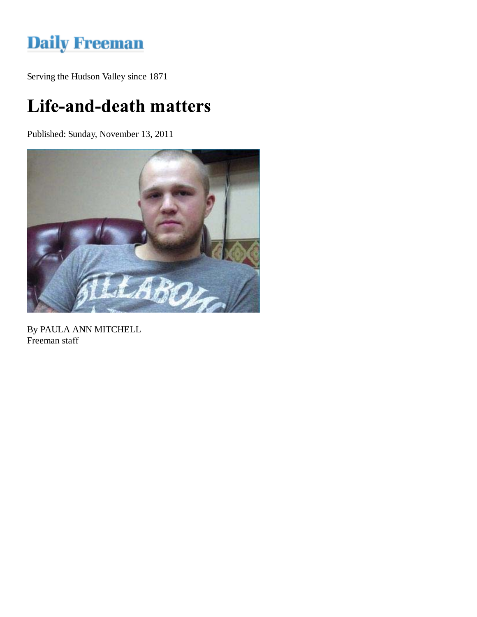## **Daily Freeman**

Serving the Hudson Valley since 1871

## Life-and-death matters

Published: Sunday, November 13, 2011



By PAULA ANN MITCHELL Freeman staff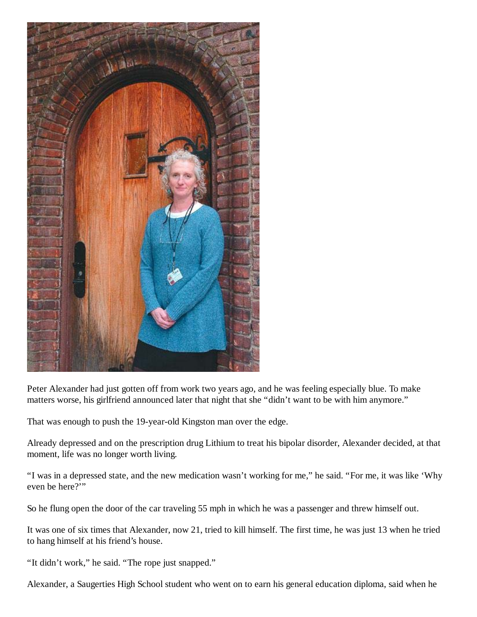

Peter Alexander had just gotten off from work two years ago, and he was feeling especially blue. To make matters worse, his girlfriend announced later that night that she "didn't want to be with him anymore."

That was enough to push the 19-year-old Kingston man over the edge.

Already depressed and on the prescription drug Lithium to treat his bipolar disorder, Alexander decided, at that moment, life was no longer worth living.

"I was in a depressed state, and the new medication wasn't working for me," he said. "For me, it was like 'Why even be here?"

So he flung open the door of the car traveling 55 mph in which he was a passenger and threw himself out.

It was one of six times that Alexander, now 21, tried to kill himself. The first time, he was just 13 when he tried to hang himself at his friend's house.

"It didn't work," he said. "The rope just snapped."

Alexander, a Saugerties High School student who went on to earn his general education diploma, said when he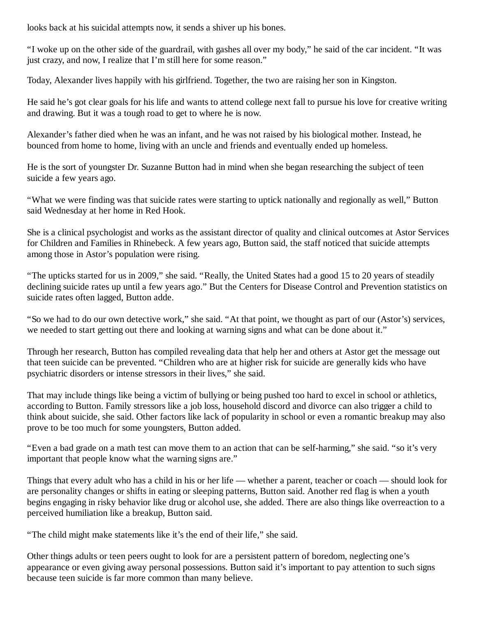looks back at his suicidal attempts now, it sends a shiver up his bones.

"I woke up on the other side of the guardrail, with gashes all over my body," he said of the car incident. "It was just crazy, and now, I realize that I'm still here for some reason."

Today, Alexander lives happily with his girlfriend. Together, the two are raising her son in Kingston.

He said he's got clear goals for his life and wants to attend college next fall to pursue his love for creative writing and drawing. But it was a tough road to get to where he is now.

Alexander's father died when he was an infant, and he was not raised by his biological mother. Instead, he bounced from home to home, living with an uncle and friends and eventually ended up homeless.

He is the sort of youngster Dr. Suzanne Button had in mind when she began researching the subject of teen suicide a few years ago.

"What we were finding was that suicide rates were starting to uptick nationally and regionally as well," Button said Wednesday at her home in Red Hook.

She is a clinical psychologist and works as the assistant director of quality and clinical outcomes at Astor Services for Children and Families in Rhinebeck. A few years ago, Button said, the staff noticed that suicide attempts among those in Astor's population were rising.

"The upticks started for us in 2009," she said. "Really, the United States had a good 15 to 20 years of steadily declining suicide rates up until a few years ago." But the Centers for Disease Control and Prevention statistics on suicide rates often lagged, Button adde.

"So we had to do our own detective work," she said. "At that point, we thought as part of our (Astor's) services, we needed to start getting out there and looking at warning signs and what can be done about it."

Through her research, Button has compiled revealing data that help her and others at Astor get the message out that teen suicide can be prevented. "Children who are at higher risk for suicide are generally kids who have psychiatric disorders or intense stressors in their lives," she said.

That may include things like being a victim of bullying or being pushed too hard to excel in school or athletics, according to Button. Family stressors like a job loss, household discord and divorce can also trigger a child to think about suicide, she said. Other factors like lack of popularity in school or even a romantic breakup may also prove to be too much for some youngsters, Button added.

"Even a bad grade on a math test can move them to an action that can be self-harming," she said. "so it's very important that people know what the warning signs are."

Things that every adult who has a child in his or her life — whether a parent, teacher or coach — should look for are personality changes or shifts in eating or sleeping patterns, Button said. Another red flag is when a youth begins engaging in risky behavior like drug or alcohol use, she added. There are also things like overreaction to a perceived humiliation like a breakup, Button said.

"The child might make statements like it's the end of their life," she said.

Other things adults or teen peers ought to look for are a persistent pattern of boredom, neglecting one's appearance or even giving away personal possessions. Button said it's important to pay attention to such signs because teen suicide is far more common than many believe.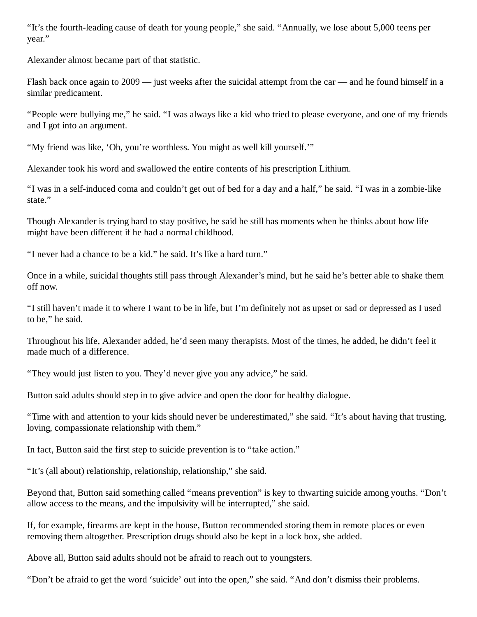"It's the fourth-leading cause of death for young people," she said. "Annually, we lose about 5,000 teens per year."

Alexander almost became part of that statistic.

Flash back once again to 2009 — just weeks after the suicidal attempt from the car — and he found himself in a similar predicament.

"People were bullying me," he said. "I was always like a kid who tried to please everyone, and one of my friends and I got into an argument.

"My friend was like, 'Oh, you're worthless. You might as well kill yourself.'"

Alexander took his word and swallowed the entire contents of his prescription Lithium.

"I was in a self-induced coma and couldn't get out of bed for a day and a half," he said. "I was in a zombie-like state."

Though Alexander is trying hard to stay positive, he said he still has moments when he thinks about how life might have been different if he had a normal childhood.

"I never had a chance to be a kid." he said. It's like a hard turn."

Once in a while, suicidal thoughts still pass through Alexander's mind, but he said he's better able to shake them off now.

"I still haven't made it to where I want to be in life, but I'm definitely not as upset or sad or depressed as I used to be," he said.

Throughout his life, Alexander added, he'd seen many therapists. Most of the times, he added, he didn't feel it made much of a difference.

"They would just listen to you. They'd never give you any advice," he said.

Button said adults should step in to give advice and open the door for healthy dialogue.

"Time with and attention to your kids should never be underestimated," she said. "It's about having that trusting, loving, compassionate relationship with them."

In fact, Button said the first step to suicide prevention is to "take action."

"It's (all about) relationship, relationship, relationship," she said.

Beyond that, Button said something called "means prevention" is key to thwarting suicide among youths. "Don't allow access to the means, and the impulsivity will be interrupted," she said.

If, for example, firearms are kept in the house, Button recommended storing them in remote places or even removing them altogether. Prescription drugs should also be kept in a lock box, she added.

Above all, Button said adults should not be afraid to reach out to youngsters.

"Don't be afraid to get the word 'suicide' out into the open," she said. "And don't dismiss their problems.